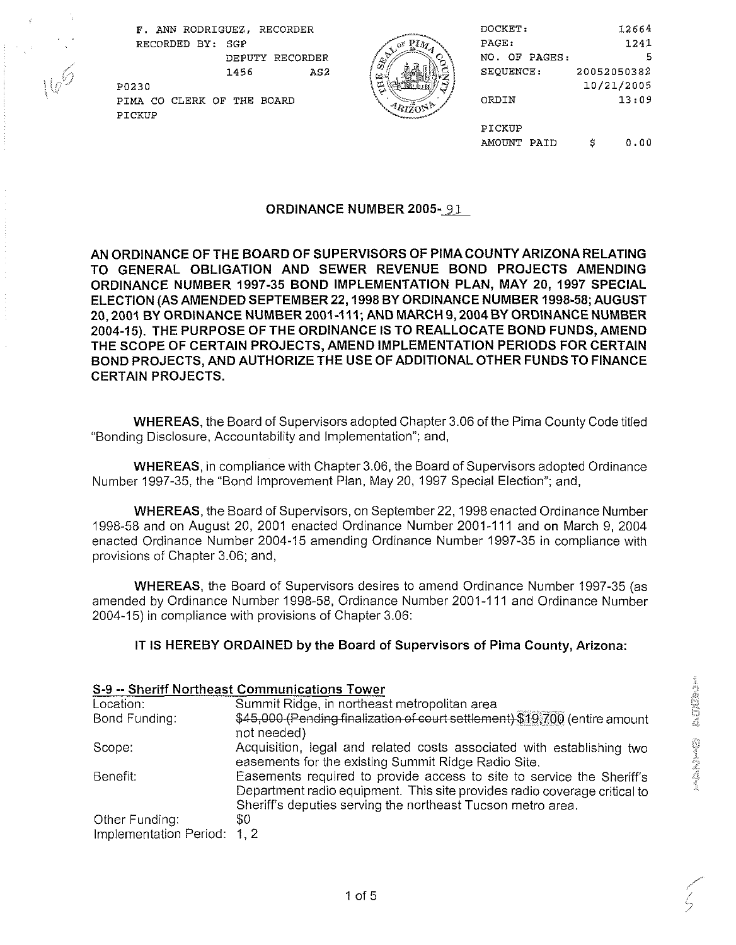

| F. ANN RODRIGUEZ, RECORDER    |       | DOCKET:       | 12664       |
|-------------------------------|-------|---------------|-------------|
| RECORDED BY: SGP              | 1 A a | PAGE:         | 1241        |
| RECORDER<br>DEPUTY            |       | NO. OF PAGES: | 5           |
| AS2<br>1456                   |       | SEQUENCE:     | 20052050382 |
| P0230                         |       |               | 10/21/2005  |
| THE BOARD<br>PIMA CO CLERK OF |       | ORDIN         | 13:09       |
| PICKUP                        |       |               |             |
|                               |       | PICKUP        |             |
|                               |       | AMOUNT PAID   | 0.00<br>c   |

## ORDINANCE NUMBER 2005-91

AN ORDINANCE OF THE BOARD OF SUPERVISORS OF PlMA COUNTY ARIZONA RELATING TO GENERAL OBLIGATION AND SEWER REVENUE BOND PROJECTS AMENDING ORDINANCE NUMBER 1997-35 BOND IMPLEMENTATION PLAN, MAY 20, 1997 SPECIAL ELECTION (AS AMENDED SEPTEMBER 22,1998 BY ORDINANCE NUMBER 1998-58; AUGUST 20, 2001 BY ORDINANCE NUMBER 2001-111; AND MARCH 9, 2004 BY ORDINANCE NUMBER 2004-15). THE PURPOSE OF THE ORDINANCE IS TO REALLOCATE BOND FUNDS, AMEND THE SCOPE OF CERTAIN PROJECTS, AMEND IMPLEMENTATION PERIODS FOR CERTAIN BOND PROJECTS, AND AUTHORIZE THE USE OF ADDITIONAL OTHER FUNDS TO FINANCE CERTAIN PROJECTS.

WHEREAS, the Board of Supervisors adopted Chapter 3.06 of the Pima County Code titled "Bonding Disclosure, Accountability and Implementation"; and,

WHEREAS, in compliance with Chapter3.06, the Board of Supervisors adopted Ordinance Number 1997-35, the "Bond Improvement Plan, May 20, 1997 Special Election"; and,

WHEREAS, the Board of Supervisors, on September 22,1998 enacted Ordinance Number 1998-58 and on August 20, 2001 enacted Ordinance Number 2001-111 and on March 9, 2004 enacted Ordinance Number 2004-15 amending Ordinance Number 1997-35 in compliance with provisions of Chapter 3.06; and,

WHEREAS, the Board of Supervisors desires to amend Ordinance Number 1997-35 (as amended by Ordinance Number 1998-58, Ordinance Number 2001-111 and Ordinance Number 2004-15) in compliance with provisions of Chapter 3.06:

## IT IS HEREBY ORDAINED by the Board of Supervisors **of** Pima County, Arizona:

|                        | S-9 -- Sheriff Northeast Communications Tower                                                                                                                                                                     |
|------------------------|-------------------------------------------------------------------------------------------------------------------------------------------------------------------------------------------------------------------|
| Location:              | Summit Ridge, in northeast metropolitan area                                                                                                                                                                      |
| Bond Funding:          | \$45,000 (Pending finalization of court settlement) \$19,700 (entire amount<br>not needed)                                                                                                                        |
| Scope:                 | Acquisition, legal and related costs associated with establishing two<br>easements for the existing Summit Ridge Radio Site.                                                                                      |
| Benefit:               | Easements required to provide access to site to service the Sheriff's<br>Department radio equipment. This site provides radio coverage critical to<br>Sheriff's deputies serving the northeast Tucson metro area. |
| Other Funding:         | 80                                                                                                                                                                                                                |
| Implementation Period: | 1, 2                                                                                                                                                                                                              |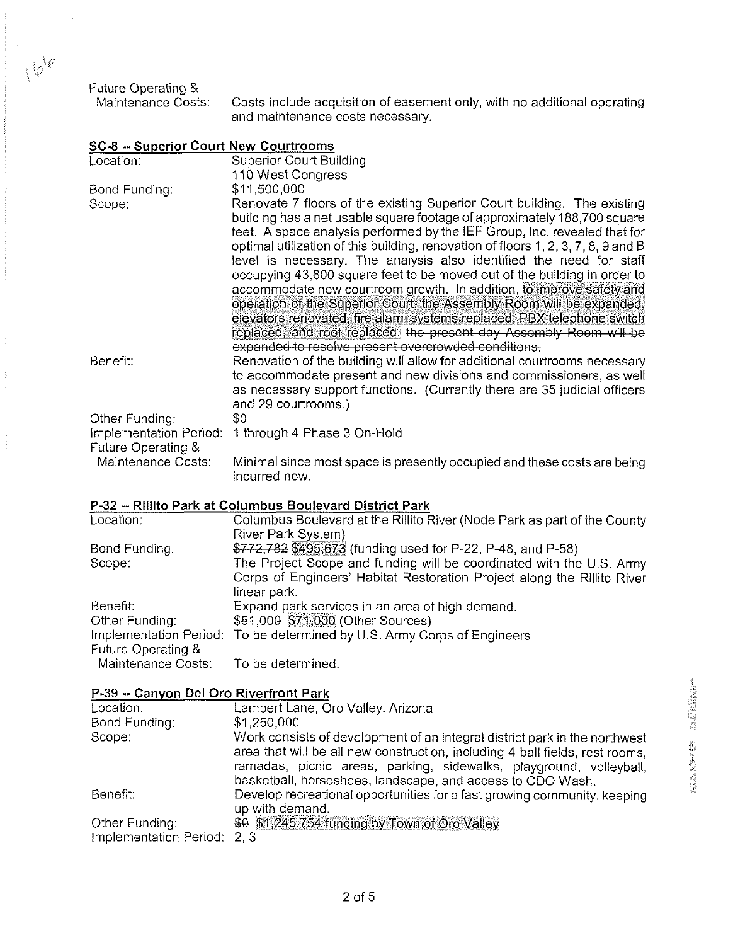Future Operating &

 $16^{10}$ 

Costs include acquisition of easement only, with no additional operating and maintenance costs necessary.

| Location:                                    | <b>Superior Court Building</b>                                                    |
|----------------------------------------------|-----------------------------------------------------------------------------------|
|                                              | 110 West Congress                                                                 |
| Bond Funding:                                | \$11,500,000                                                                      |
| Scope:                                       | Renovate 7 floors of the existing Superior Court building. The existing           |
|                                              | building has a net usable square footage of approximately 188,700 square          |
|                                              | feet. A space analysis performed by the IEF Group, Inc. revealed that for         |
|                                              | optimal utilization of this building, renovation of floors 1, 2, 3, 7, 8, 9 and B |
|                                              | level is necessary. The analysis also identified the need for staff               |
|                                              | occupying 43,800 square feet to be moved out of the building in order to          |
|                                              | accommodate new courtroom growth. In addition, to improve safety and              |
|                                              | operation of the Superior Court, the Assembly Room will be expanded,              |
|                                              | elevators renovated, fire alarm systems replaced, PBX telephone switch            |
|                                              | replaced, and roof replaced. the present day Assembly Room will be                |
|                                              | expanded to resolve present overcrowded conditions.                               |
| Benefit:                                     | Renovation of the building will allow for additional courtrooms necessary         |
|                                              | to accommodate present and new divisions and commissioners, as well               |
|                                              | as necessary support functions. (Currently there are 35 judicial officers         |
|                                              | and 29 courtrooms.)                                                               |
| Other Funding:                               | \$0                                                                               |
| Implementation Period:<br>Future Operating & | 1 through 4 Phase 3 On-Hold                                                       |
| Maintenance Costs:                           | Minimal since most space is presently occupied and these costs are being          |
|                                              | incurred now.                                                                     |
|                                              |                                                                                   |
|                                              | P-32 -- Rillito Park at Columbus Boulevard District Park                          |
| Location:                                    | Columbus Boulevard at the Rillito River (Node Park as part of the County          |
|                                              | River Park System)                                                                |
| Bond Funding:                                | \$772,782 \$495,673 (funding used for P-22, P-48, and P-58)                       |
| Scope:                                       | The Project Scope and funding will be coordinated with the U.S. Army              |
|                                              | Corps of Engineers' Habitat Restoration Project along the Rillito River           |
|                                              | linear park.                                                                      |
| Benefit:                                     | Expand park services in an area of high demand.                                   |
| Other Funding:                               | \$51,000 \$71,000 (Other Sources)                                                 |

## SC-8 -- Superior Court New Courtrooms

Maintenance Costs: To be determined.

Future Operating &

| P-39 -- Canyon Del Oro Riverfront Park |                                                                                                                                                                                                                                                                                                |
|----------------------------------------|------------------------------------------------------------------------------------------------------------------------------------------------------------------------------------------------------------------------------------------------------------------------------------------------|
| Location:                              | Lambert Lane, Oro Valley, Arizona                                                                                                                                                                                                                                                              |
| Bond Funding:                          | \$1,250,000                                                                                                                                                                                                                                                                                    |
| Scope:                                 | Work consists of development of an integral district park in the northwest<br>area that will be all new construction, including 4 ball fields, rest rooms,<br>ramadas, picnic areas, parking, sidewalks, playground, volleyball,<br>basketball, horseshoes, landscape, and access to CDO Wash. |
| Benefit:                               | Develop recreational opportunities for a fast growing community, keeping<br>up with demand.                                                                                                                                                                                                    |
| Other Funding:                         | \$0 \$1,245,754 funding by Town of Oro Valley                                                                                                                                                                                                                                                  |
| Implementation Period: 2, 3            |                                                                                                                                                                                                                                                                                                |

Implementation Period: To be determined by U.S. Army Corps of Engineers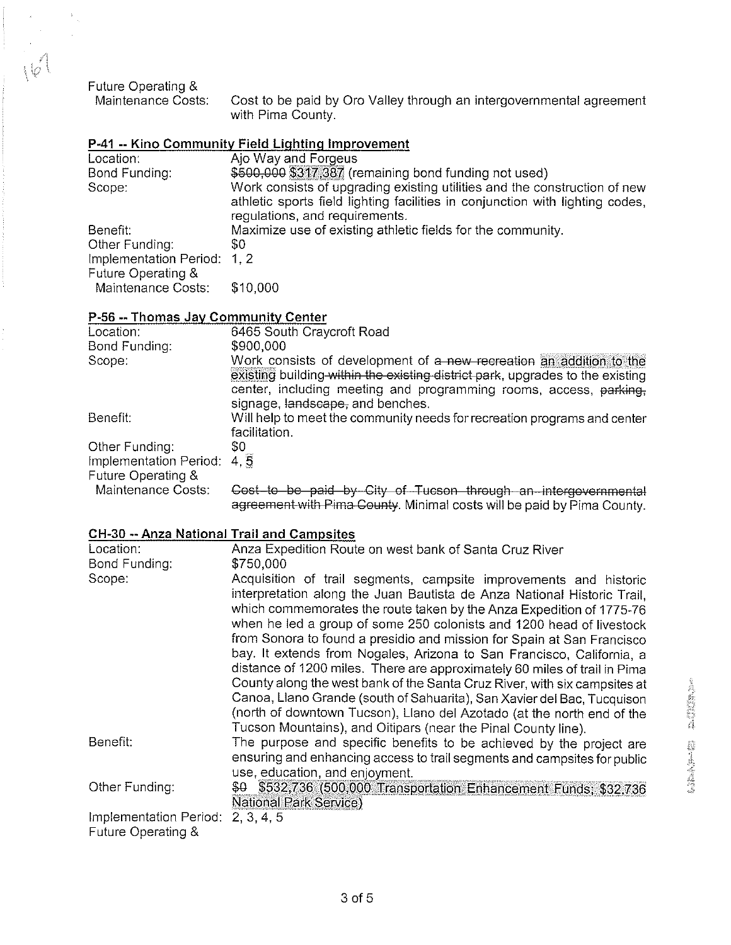Future Operating &

 $|v|$ 

Cost to be paid by Oro Valley through an intergovernmental agreement with Pima County.

## **P-41 -- Kino Community Field Lighting Improvement**

| Location:                   | Ajo Way and Forgeus                                                                                                                                                                          |
|-----------------------------|----------------------------------------------------------------------------------------------------------------------------------------------------------------------------------------------|
| Bond Funding:               | \$500,000 \$317,387 (remaining bond funding not used)                                                                                                                                        |
| Scope:                      | Work consists of upgrading existing utilities and the construction of new<br>athletic sports field lighting facilities in conjunction with lighting codes,<br>regulations, and requirements. |
| Benefit:                    | Maximize use of existing athletic fields for the community.                                                                                                                                  |
| Other Funding:              | \$0.                                                                                                                                                                                         |
| Implementation Period: 1, 2 |                                                                                                                                                                                              |
| Future Operating &          |                                                                                                                                                                                              |
| Maintenance Costs:          | \$10,000                                                                                                                                                                                     |

## **P-56** --Thomas Jay Community Center

| Location:                                         | 6465 South Craycroft Road                                                                                                                                                                                                                                                                                                                                                                                                                                                                                                                                                                                                                                                                                                                                                                                                       |
|---------------------------------------------------|---------------------------------------------------------------------------------------------------------------------------------------------------------------------------------------------------------------------------------------------------------------------------------------------------------------------------------------------------------------------------------------------------------------------------------------------------------------------------------------------------------------------------------------------------------------------------------------------------------------------------------------------------------------------------------------------------------------------------------------------------------------------------------------------------------------------------------|
| Bond Funding:                                     | \$900,000                                                                                                                                                                                                                                                                                                                                                                                                                                                                                                                                                                                                                                                                                                                                                                                                                       |
| Scope:                                            | Work consists of development of a new recreation an addition to the<br>existing building-within the existing district park, upgrades to the existing<br>center, including meeting and programming rooms, access, parking,<br>signage, landscape, and benches.                                                                                                                                                                                                                                                                                                                                                                                                                                                                                                                                                                   |
| Benefit:                                          | Will help to meet the community needs for recreation programs and center<br>facilitation.                                                                                                                                                                                                                                                                                                                                                                                                                                                                                                                                                                                                                                                                                                                                       |
| Other Funding:<br>Implementation Period:          | \$0<br>4, 5                                                                                                                                                                                                                                                                                                                                                                                                                                                                                                                                                                                                                                                                                                                                                                                                                     |
| Future Operating &                                |                                                                                                                                                                                                                                                                                                                                                                                                                                                                                                                                                                                                                                                                                                                                                                                                                                 |
| Maintenance Costs:                                | Cost-to be paid by City of Tucson through an intergovernmental<br>agreement with Pima County. Minimal costs will be paid by Pima County.                                                                                                                                                                                                                                                                                                                                                                                                                                                                                                                                                                                                                                                                                        |
| <b>CH-30 -- Anza National Trail and Campsites</b> |                                                                                                                                                                                                                                                                                                                                                                                                                                                                                                                                                                                                                                                                                                                                                                                                                                 |
| Location:<br>Bond Funding:                        | Anza Expedition Route on west bank of Santa Cruz River<br>\$750,000                                                                                                                                                                                                                                                                                                                                                                                                                                                                                                                                                                                                                                                                                                                                                             |
| Scope:                                            | Acquisition of trail segments, campsite improvements and historic<br>interpretation along the Juan Bautista de Anza National Historic Trail,<br>which commemorates the route taken by the Anza Expedition of 1775-76<br>when he led a group of some 250 colonists and 1200 head of livestock<br>from Sonora to found a presidio and mission for Spain at San Francisco<br>bay. It extends from Nogales, Arizona to San Francisco, California, a<br>distance of 1200 miles. There are approximately 60 miles of trail in Pima<br>County along the west bank of the Santa Cruz River, with six campsites at<br>Canoa, Llano Grande (south of Sahuarita), San Xavier del Bac, Tucquison<br>(north of downtown Tucson), Llano del Azotado (at the north end of the<br>Tucson Mountains), and Oitipars (near the Pinal County line). |
| Benefit:                                          | The purpose and specific benefits to be achieved by the project are<br>ensuring and enhancing access to trail segments and campsites for public<br>$\frac{1}{2}$                                                                                                                                                                                                                                                                                                                                                                                                                                                                                                                                                                                                                                                                |

use, education, and enjoyment. Other Funding:  $\frac{$60,000}{1000}$  5532,736 (500,000 Transportation Enhancement Funds; \$32,736 National Park Service) Implementation Period: 2, 3, 4, 5

Future Operating &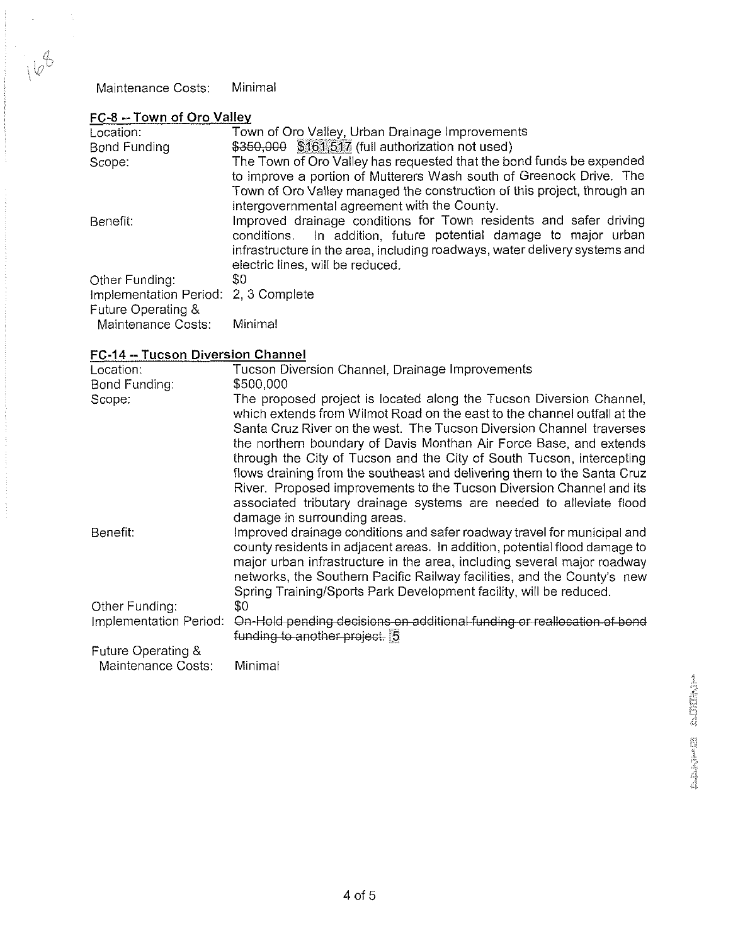|  | FC-8 -- Town of Oro Valley |
|--|----------------------------|
|--|----------------------------|

 $\frac{1}{\alpha}$ 

l.

 $168$ 

| Location:                                                  | Town of Oro Valley, Urban Drainage Improvements                                                                                                                                                                                                        |
|------------------------------------------------------------|--------------------------------------------------------------------------------------------------------------------------------------------------------------------------------------------------------------------------------------------------------|
| Bond Funding                                               | \$350,000 \$161,517 (full authorization not used)                                                                                                                                                                                                      |
| Scope:                                                     | The Town of Oro Valley has requested that the bond funds be expended                                                                                                                                                                                   |
|                                                            | to improve a portion of Mutterers Wash south of Greenock Drive. The                                                                                                                                                                                    |
|                                                            | Town of Oro Valley managed the construction of this project, through an                                                                                                                                                                                |
|                                                            | intergovernmental agreement with the County.                                                                                                                                                                                                           |
| Benefit:                                                   | Improved drainage conditions for Town residents and safer driving<br>conditions. In addition, future potential damage to major urban<br>infrastructure in the area, including roadways, water delivery systems and<br>electric lines, will be reduced. |
| Other Funding:                                             | SO.                                                                                                                                                                                                                                                    |
| Implementation Period: 2, 3 Complete<br>Future Operating & |                                                                                                                                                                                                                                                        |
| Maintenance Costs:                                         | Minimal                                                                                                                                                                                                                                                |

# FC-14 --Tucson Diversion Channel

| Maintenance Costs:                   | Minimal                                                                                                                                               |                 |
|--------------------------------------|-------------------------------------------------------------------------------------------------------------------------------------------------------|-----------------|
| FC-8 -- Town of Oro Valley           |                                                                                                                                                       |                 |
| Location:                            | Town of Oro Valley, Urban Drainage Improvements                                                                                                       |                 |
| <b>Bond Funding</b>                  | \$350,000 \$161,517 (full authorization not used)                                                                                                     |                 |
| Scope:                               | The Town of Oro Valley has requested that the bond funds be expended                                                                                  |                 |
|                                      | to improve a portion of Mutterers Wash south of Greenock Drive. The                                                                                   |                 |
|                                      | Town of Oro Valley managed the construction of this project, through an                                                                               |                 |
|                                      | intergovernmental agreement with the County.                                                                                                          |                 |
| Benefit:                             | Improved drainage conditions for Town residents and safer driving                                                                                     |                 |
|                                      | In addition, future potential damage to major urban<br>conditions.                                                                                    |                 |
|                                      | infrastructure in the area, including roadways, water delivery systems and                                                                            |                 |
|                                      | electric lines, will be reduced.                                                                                                                      |                 |
| Other Funding:                       | \$0                                                                                                                                                   |                 |
| Implementation Period: 2, 3 Complete |                                                                                                                                                       |                 |
| Future Operating &                   |                                                                                                                                                       |                 |
| Maintenance Costs:                   | Minimal                                                                                                                                               |                 |
| FC-14 -- Tucson Diversion Channel    |                                                                                                                                                       |                 |
| Location:                            | Tucson Diversion Channel, Drainage Improvements                                                                                                       |                 |
| Bond Funding:                        | \$500,000                                                                                                                                             |                 |
| Scope:                               | The proposed project is located along the Tucson Diversion Channel,                                                                                   |                 |
|                                      | which extends from Wilmot Road on the east to the channel outfall at the                                                                              |                 |
|                                      | Santa Cruz River on the west. The Tucson Diversion Channel traverses                                                                                  |                 |
|                                      | the northern boundary of Davis Monthan Air Force Base, and extends                                                                                    |                 |
|                                      | through the City of Tucson and the City of South Tucson, intercepting                                                                                 |                 |
|                                      | flows draining from the southeast and delivering them to the Santa Cruz                                                                               |                 |
|                                      | River. Proposed improvements to the Tucson Diversion Channel and its                                                                                  |                 |
|                                      | associated tributary drainage systems are needed to alleviate flood                                                                                   |                 |
|                                      | damage in surrounding areas.                                                                                                                          |                 |
| Benefit:                             | Improved drainage conditions and safer roadway travel for municipal and                                                                               |                 |
|                                      | county residents in adjacent areas. In addition, potential flood damage to<br>major urban infrastructure in the area, including several major roadway |                 |
|                                      | networks, the Southern Pacific Railway facilities, and the County's new                                                                               |                 |
|                                      | Spring Training/Sports Park Development facility, will be reduced.                                                                                    |                 |
| Other Funding:                       | \$0                                                                                                                                                   |                 |
| Implementation Period:               | On-Hold pending decisions on additional funding or reallocation of bond                                                                               |                 |
|                                      | funding to another project. 5                                                                                                                         |                 |
| Future Operating &                   |                                                                                                                                                       |                 |
| Maintenance Costs:                   | Minimal                                                                                                                                               |                 |
|                                      |                                                                                                                                                       |                 |
|                                      |                                                                                                                                                       | <b>MINISTOP</b> |
|                                      |                                                                                                                                                       |                 |
|                                      |                                                                                                                                                       |                 |
|                                      |                                                                                                                                                       |                 |
|                                      |                                                                                                                                                       | M               |
|                                      |                                                                                                                                                       |                 |